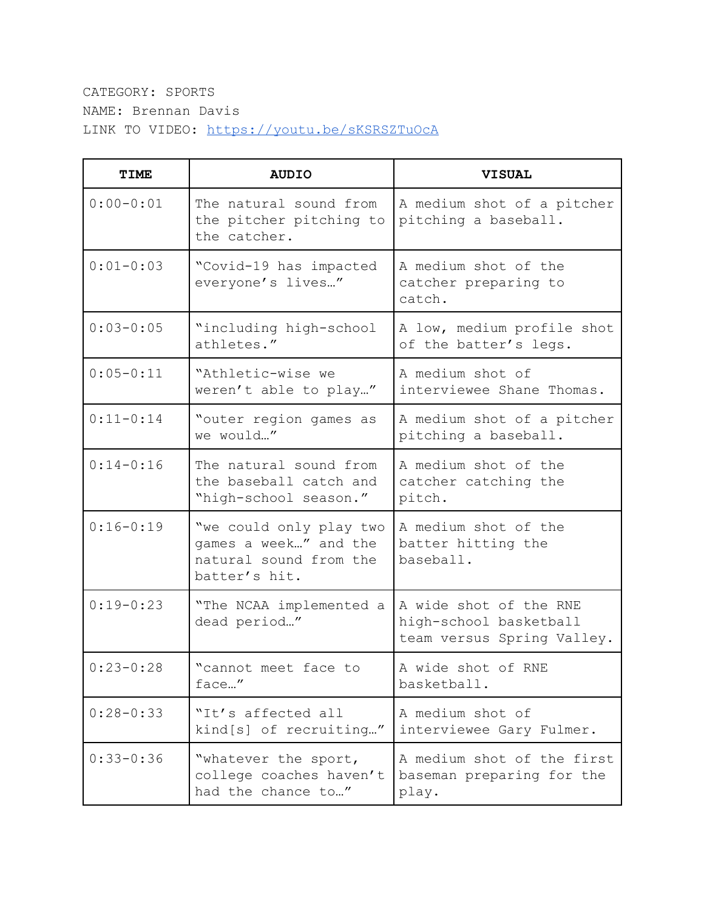## CATEGORY: SPORTS NAME: Brennan Davis LINK TO VIDEO: <https://youtu.be/sKSRSZTuOcA>

| <b>TIME</b>   | <b>AUDIO</b>                                                                                | <b>VISUAL</b>                                                                  |
|---------------|---------------------------------------------------------------------------------------------|--------------------------------------------------------------------------------|
| $0:00 - 0:01$ | The natural sound from<br>the pitcher pitching to<br>the catcher.                           | A medium shot of a pitcher<br>pitching a baseball.                             |
| $0:01 - 0:03$ | "Covid-19 has impacted<br>everyone's lives"                                                 | A medium shot of the<br>catcher preparing to<br>catch.                         |
| $0:03-0:05$   | "including high-school<br>athletes."                                                        | A low, medium profile shot<br>of the batter's legs.                            |
| $0:05 - 0:11$ | "Athletic-wise we<br>weren't able to play"                                                  | A medium shot of<br>interviewee Shane Thomas.                                  |
| $0:11-0:14$   | "outer region games as<br>we would"                                                         | A medium shot of a pitcher<br>pitching a baseball.                             |
| $0:14 - 0:16$ | The natural sound from<br>the baseball catch and<br>"high-school season."                   | A medium shot of the<br>catcher catching the<br>pitch.                         |
| $0:16 - 0:19$ | "we could only play two<br>games a week" and the<br>natural sound from the<br>batter's hit. | A medium shot of the<br>batter hitting the<br>baseball.                        |
| $0:19-0:23$   | "The NCAA implemented a<br>dead period"                                                     | A wide shot of the RNE<br>high-school basketball<br>team versus Spring Valley. |
| $0:23-0:28$   | "cannot meet face to<br>face"                                                               | A wide shot of RNE<br>basketball.                                              |
| $0:28 - 0:33$ | "It's affected all<br>kind[s] of recruiting"                                                | A medium shot of<br>interviewee Gary Fulmer.                                   |
| $0:33 - 0:36$ | "whatever the sport,<br>college coaches haven't<br>had the chance to"                       | A medium shot of the first<br>baseman preparing for the<br>play.               |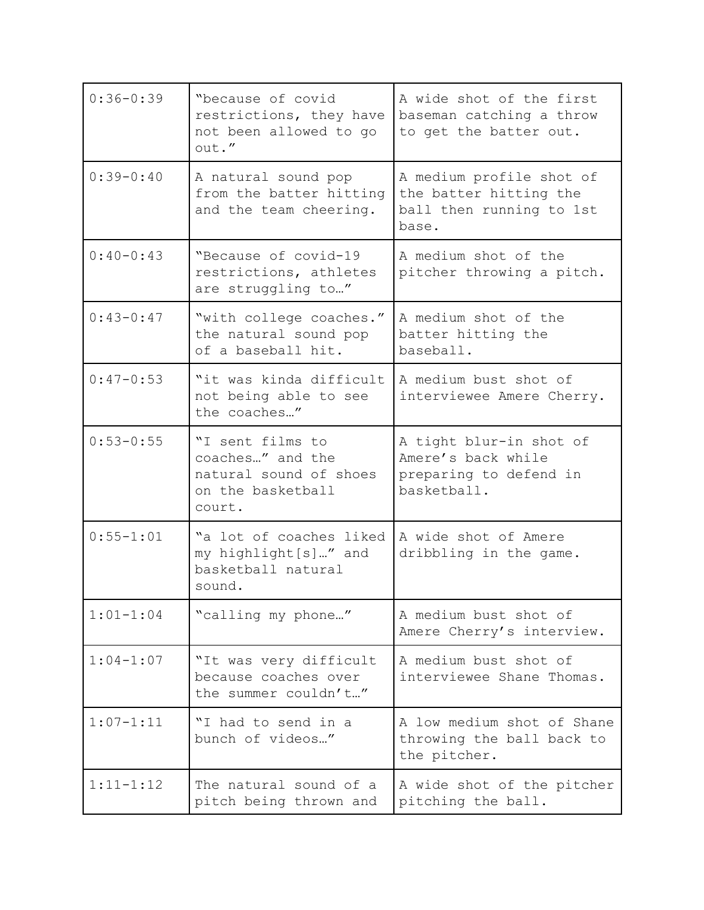| $0:36 - 0:39$ | "because of covid<br>restrictions, they have<br>not been allowed to go<br>out."               | A wide shot of the first<br>baseman catching a throw<br>to get the batter out.          |
|---------------|-----------------------------------------------------------------------------------------------|-----------------------------------------------------------------------------------------|
| $0:39 - 0:40$ | A natural sound pop<br>from the batter hitting<br>and the team cheering.                      | A medium profile shot of<br>the batter hitting the<br>ball then running to 1st<br>base. |
| $0:40-0:43$   | "Because of covid-19<br>restrictions, athletes<br>are struggling to"                          | A medium shot of the<br>pitcher throwing a pitch.                                       |
| $0:43-0:47$   | "with college coaches."<br>the natural sound pop<br>of a baseball hit.                        | A medium shot of the<br>batter hitting the<br>baseball.                                 |
| $0:47-0:53$   | "it was kinda difficult<br>not being able to see<br>the coaches"                              | A medium bust shot of<br>interviewee Amere Cherry.                                      |
| $0:53 - 0:55$ | "I sent films to<br>coaches" and the<br>natural sound of shoes<br>on the basketball<br>court. | A tight blur-in shot of<br>Amere's back while<br>preparing to defend in<br>basketball.  |
| $0:55 - 1:01$ | "a lot of coaches liked<br>my highlight[s]" and<br>basketball natural<br>sound.               | A wide shot of Amere<br>dribbling in the game.                                          |
| $1:01 - 1:04$ | "calling my phone"                                                                            | A medium bust shot of<br>Amere Cherry's interview.                                      |
| $1:04-1:07$   | "It was very difficult<br>because coaches over<br>the summer couldn't"                        | A medium bust shot of<br>interviewee Shane Thomas.                                      |
| $1:07 - 1:11$ | "I had to send in a<br>bunch of videos"                                                       | A low medium shot of Shane<br>throwing the ball back to<br>the pitcher.                 |
| $1:11 - 1:12$ | The natural sound of a<br>pitch being thrown and                                              | A wide shot of the pitcher<br>pitching the ball.                                        |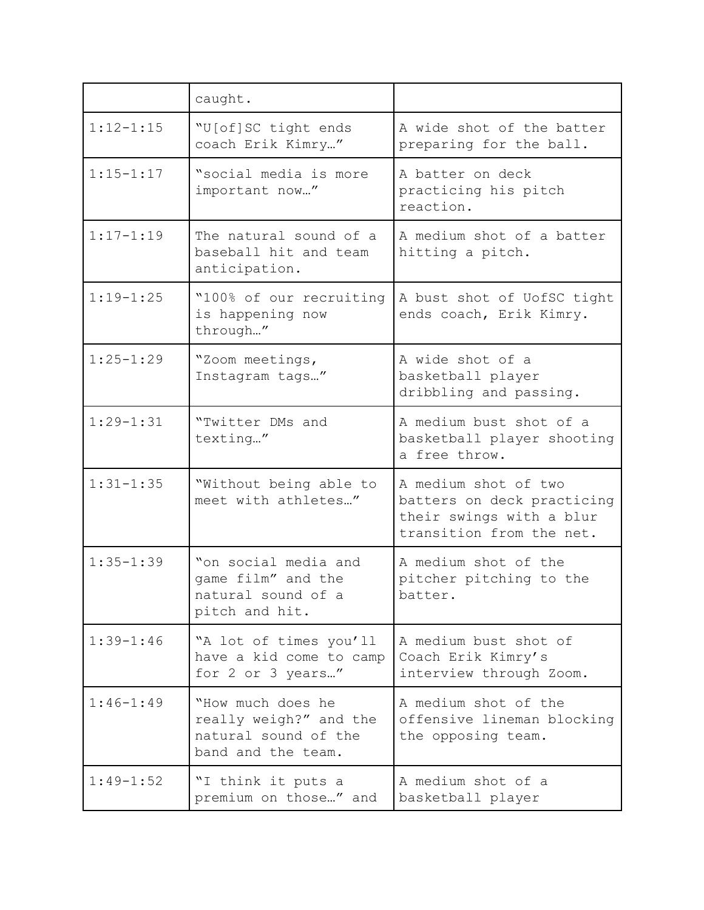|               | caught.                                                                                   |                                                                                                            |
|---------------|-------------------------------------------------------------------------------------------|------------------------------------------------------------------------------------------------------------|
| $1:12 - 1:15$ | "U[of]SC tight ends<br>coach Erik Kimry"                                                  | A wide shot of the batter<br>preparing for the ball.                                                       |
| $1:15 - 1:17$ | "social media is more<br>important now"                                                   | A batter on deck<br>practicing his pitch<br>reaction.                                                      |
| $1:17 - 1:19$ | The natural sound of a<br>baseball hit and team<br>anticipation.                          | A medium shot of a batter<br>hitting a pitch.                                                              |
| $1:19 - 1:25$ | "100% of our recruiting<br>is happening now<br>through"                                   | A bust shot of UofSC tight<br>ends coach, Erik Kimry.                                                      |
| $1:25 - 1:29$ | "Zoom meetings,<br>Instagram tags"                                                        | A wide shot of a<br>basketball player<br>dribbling and passing.                                            |
| $1:29 - 1:31$ | "Twitter DMs and<br>texting"                                                              | A medium bust shot of a<br>basketball player shooting<br>a free throw.                                     |
| $1:31 - 1:35$ | "Without being able to<br>meet with athletes"                                             | A medium shot of two<br>batters on deck practicing<br>their swings with a blur<br>transition from the net. |
| $1:35 - 1:39$ | "on social media and<br>game film" and the<br>natural sound of a<br>pitch and hit.        | A medium shot of the<br>pitcher pitching to the<br>batter.                                                 |
| $1:39 - 1:46$ | "A lot of times you'll<br>have a kid come to camp<br>for 2 or 3 years"                    | A medium bust shot of<br>Coach Erik Kimry's<br>interview through Zoom.                                     |
| $1:46 - 1:49$ | "How much does he<br>really weigh?" and the<br>natural sound of the<br>band and the team. | A medium shot of the<br>offensive lineman blocking<br>the opposing team.                                   |
| $1:49 - 1:52$ | "I think it puts a<br>premium on those" and                                               | A medium shot of a<br>basketball player                                                                    |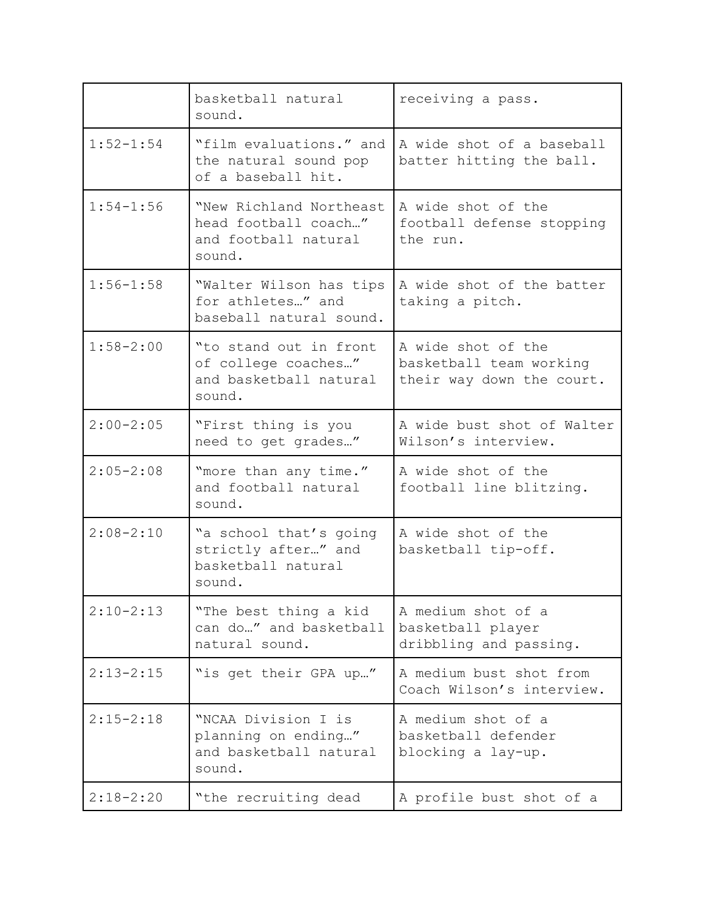|               | basketball natural<br>sound.                                                      | receiving a pass.                                                          |
|---------------|-----------------------------------------------------------------------------------|----------------------------------------------------------------------------|
| $1:52 - 1:54$ | "film evaluations." and<br>the natural sound pop<br>of a baseball hit.            | A wide shot of a baseball<br>batter hitting the ball.                      |
| $1:54 - 1:56$ | "New Richland Northeast<br>head football coach"<br>and football natural<br>sound. | A wide shot of the<br>football defense stopping<br>the run.                |
| $1:56 - 1:58$ | "Walter Wilson has tips<br>for athletes" and<br>baseball natural sound.           | A wide shot of the batter<br>taking a pitch.                               |
| $1:58 - 2:00$ | "to stand out in front<br>of college coaches"<br>and basketball natural<br>sound. | A wide shot of the<br>basketball team working<br>their way down the court. |
| $2:00-2:05$   | "First thing is you<br>need to get grades"                                        | A wide bust shot of Walter<br>Wilson's interview.                          |
| $2:05 - 2:08$ | "more than any time."<br>and football natural<br>sound.                           | A wide shot of the<br>football line blitzing.                              |
| $2:08 - 2:10$ | "a school that's going<br>strictly after" and<br>basketball natural<br>sound.     | A wide shot of the<br>basketball tip-off.                                  |
| $2:10-2:13$   | "The best thing a kid<br>can do" and basketball<br>natural sound.                 | A medium shot of a<br>basketball player<br>dribbling and passing.          |
| $2:13 - 2:15$ | "is get their GPA up"                                                             | A medium bust shot from<br>Coach Wilson's interview.                       |
| $2:15 - 2:18$ | "NCAA Division I is<br>planning on ending"<br>and basketball natural<br>sound.    | A medium shot of a<br>basketball defender<br>blocking a lay-up.            |
| $2:18 - 2:20$ | "the recruiting dead                                                              | A profile bust shot of a                                                   |